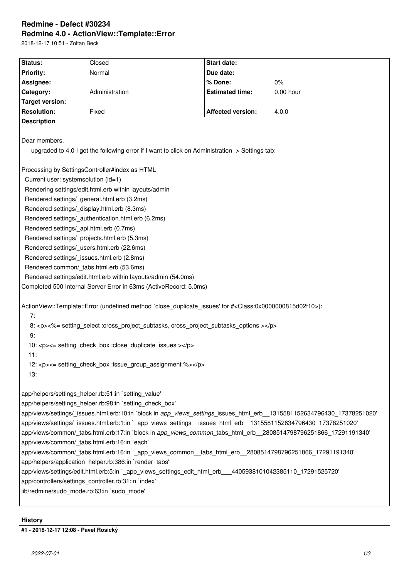# **Redmine - Defect #30234 Redmine 4.0 - ActionView::Template::Error**

2018-12-17 10:51 - Zoltan Beck

| Status:<br><b>Priority:</b>                                                                                                                 | Closed<br>Normal | Start date:<br>Due date: |           |
|---------------------------------------------------------------------------------------------------------------------------------------------|------------------|--------------------------|-----------|
| Assignee:                                                                                                                                   |                  | % Done:                  | 0%        |
| Category:                                                                                                                                   | Administration   | <b>Estimated time:</b>   | 0.00 hour |
| <b>Target version:</b>                                                                                                                      |                  |                          |           |
| <b>Resolution:</b>                                                                                                                          | Fixed            | <b>Affected version:</b> | 4.0.0     |
| <b>Description</b>                                                                                                                          |                  |                          |           |
|                                                                                                                                             |                  |                          |           |
| Dear members.<br>upgraded to 4.0 I get the following error if I want to click on Administration -> Settings tab:                            |                  |                          |           |
| Processing by SettingsController#index as HTML                                                                                              |                  |                          |           |
| Current user: systemsolution (id=1)                                                                                                         |                  |                          |           |
| Rendering settings/edit.html.erb within layouts/admin                                                                                       |                  |                          |           |
| Rendered settings/_general.html.erb (3.2ms)                                                                                                 |                  |                          |           |
| Rendered settings/ display.html.erb (8.3ms)                                                                                                 |                  |                          |           |
| Rendered settings/ authentication.html.erb (6.2ms)                                                                                          |                  |                          |           |
| Rendered settings/_api.html.erb (0.7ms)                                                                                                     |                  |                          |           |
| Rendered settings/_projects.html.erb (5.3ms)                                                                                                |                  |                          |           |
| Rendered settings/_users.html.erb (22.6ms)                                                                                                  |                  |                          |           |
| Rendered settings/_issues.html.erb (2.8ms)                                                                                                  |                  |                          |           |
| Rendered common/_tabs.html.erb (53.6ms)                                                                                                     |                  |                          |           |
| Rendered settings/edit.html.erb within layouts/admin (54.0ms)                                                                               |                  |                          |           |
| Completed 500 Internal Server Error in 63ms (ActiveRecord: 5.0ms)                                                                           |                  |                          |           |
|                                                                                                                                             |                  |                          |           |
| ActionView::Template::Error (undefined method `close_duplicate_issues' for # <class:0x0000000815d02f10>):<br/>7:</class:0x0000000815d02f10> |                  |                          |           |
| 8: <p>&lt;%= setting_select :cross_project_subtasks, cross_project_subtasks_options &gt;</p>                                                |                  |                          |           |
| 9:                                                                                                                                          |                  |                          |           |
| 10: <p>&lt;= setting_check_box :close_duplicate_issues &gt;</p>                                                                             |                  |                          |           |
| 11:                                                                                                                                         |                  |                          |           |
| 12: <p>&lt;= setting_check_box :issue_group_assignment %&gt;</p>                                                                            |                  |                          |           |
| 13:                                                                                                                                         |                  |                          |           |
|                                                                                                                                             |                  |                          |           |
| app/helpers/settings helper.rb:51:in `setting value'                                                                                        |                  |                          |           |
| app/helpers/settings_helper.rb:98:in `setting_check_box'                                                                                    |                  |                          |           |
| app/views/settings/_issues.html.erb:10:in `block in app_views_settings_issues_html_erb_1315581152634796430_17378251020'                     |                  |                          |           |
| app/views/settings/_issues.html.erb:1:in `_app_views_settings__issues_html_erb__1315581152634796430_17378251020'                            |                  |                          |           |
| app/views/common/_tabs.html.erb:17:in `block in app_views_common_tabs_html_erb_2808514798796251866_17291191340'                             |                  |                          |           |
| app/views/common/ tabs.html.erb:16:in `each'                                                                                                |                  |                          |           |
| app/views/common/_tabs.html.erb:16:in `_app_views_common__tabs_html_erb__2808514798796251866_17291191340'                                   |                  |                          |           |
| app/helpers/application_helper.rb:386:in `render_tabs'                                                                                      |                  |                          |           |
| app/views/settings/edit.html.erb:5:in `_app_views_settings_edit_html_erb__4405938101042385110_17291525720'                                  |                  |                          |           |
| app/controllers/settings_controller.rb:31:in `index'                                                                                        |                  |                          |           |
| lib/redmine/sudo_mode.rb:63:in `sudo_mode'                                                                                                  |                  |                          |           |
|                                                                                                                                             |                  |                          |           |

### **History**

## **#1 - 2018-12-17 12:08 - Pavel Rosický**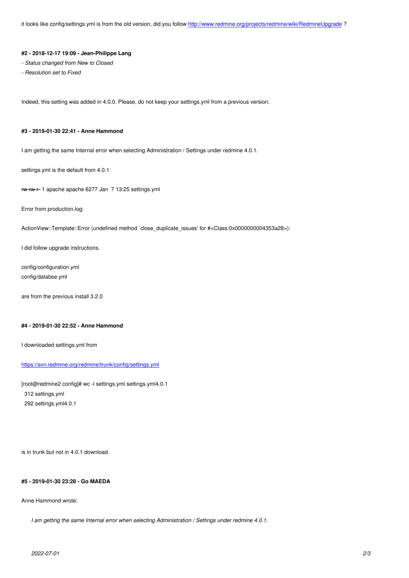#### **#2 - 2018-12-17 19:09 - Jean-Philippe Lang**

*- Status changed from New to Closed*

*- Resolution set to Fixed*

Indeed, this setting was added in 4.0.0. Please, do not keep your settings.yml from a previous version.

#### **#3 - 2019-01-30 22:41 - Anne Hammond**

I am getting the same Internal error when selecting Administration / Settings under redmine 4.0.1.

settings.yml is the default from 4.0.1:

rw-rw-r- 1 apache apache 6277 Jan 7 13:25 settings.yml

Error from production.log:

ActionView::Template::Error (undefined method `close\_duplicate\_issues' for #<Class:0x0000000004353a28>):

I did follow upgrade instructions.

config/configuration.yml config/databse.yml

are from the previous install 3.2.0

#### **#4 - 2019-01-30 22:52 - Anne Hammond**

I downloaded settings.yml from

#### https://svn.redmine.org/redmine/trunk/config/settings.yml

[root@redmine2 config]# wc -l settings.yml settings.yml4.0.1 312 settings.yml  [292 settings.yml4.0.1](https://svn.redmine.org/redmine/trunk/config/settings.yml)

is in trunk but not in 4.0.1 download.

### **#5 - 2019-01-30 23:28 - Go MAEDA**

Anne Hammond wrote:

*I am getting the same Internal error when selecting Administration / Settings under redmine 4.0.1.*